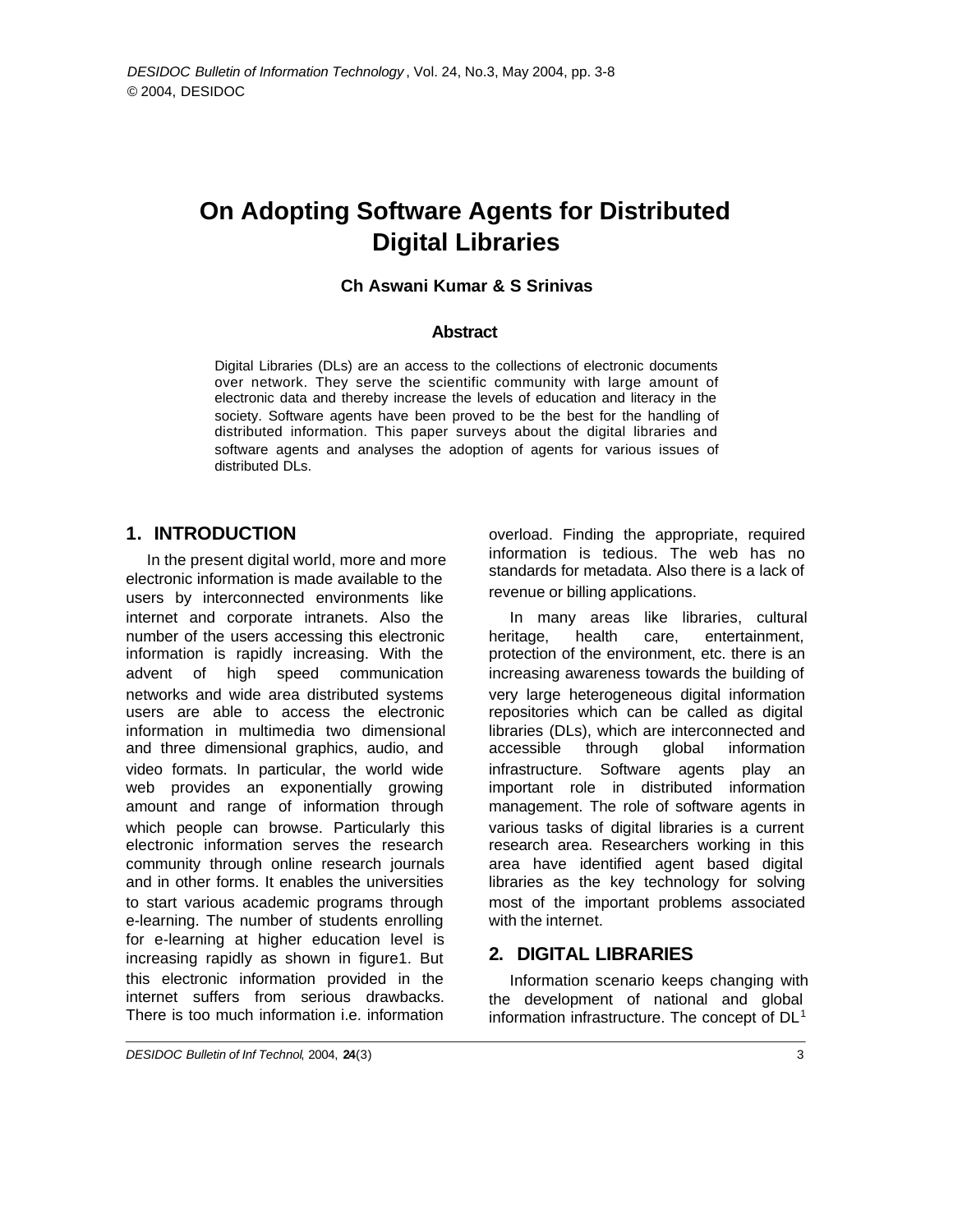# **On Adopting Software Agents for Distributed Digital Libraries**

#### **Ch Aswani Kumar & S Srinivas**

#### **Abstract**

Digital Libraries (DLs) are an access to the collections of electronic documents over network. They serve the scientific community with large amount of electronic data and thereby increase the levels of education and literacy in the society. Software agents have been proved to be the best for the handling of distributed information. This paper surveys about the digital libraries and software agents and analyses the adoption of agents for various issues of distributed DLs.

### **1. INTRODUCTION**

In the present digital world, more and more electronic information is made available to the users by interconnected environments like internet and corporate intranets. Also the number of the users accessing this electronic information is rapidly increasing. With the advent of high speed communication networks and wide area distributed systems users are able to access the electronic information in multimedia two dimensional and three dimensional graphics, audio, and video formats. In particular, the world wide web provides an exponentially growing amount and range of information through which people can browse. Particularly this electronic information serves the research community through online research journals and in other forms. It enables the universities to start various academic programs through e-learning. The number of students enrolling for e-learning at higher education level is increasing rapidly as shown in figure1. But this electronic information provided in the internet suffers from serious drawbacks. There is too much information i.e. information

overload. Finding the appropriate, required information is tedious. The web has no standards for metadata. Also there is a lack of revenue or billing applications.

In many areas like libraries, cultural heritage, health care, entertainment, protection of the environment, etc. there is an increasing awareness towards the building of very large heterogeneous digital information repositories which can be called as digital libraries (DLs), which are interconnected and accessible through global information infrastructure. Software agents play an important role in distributed information management. The role of software agents in various tasks of digital libraries is a current research area. Researchers working in this area have identified agent based digital libraries as the key technology for solving most of the important problems associated with the internet.

### **2. DIGITAL LIBRARIES**

Information scenario keeps changing with the development of national and global information infrastructure. The concept of  $DL<sup>1</sup>$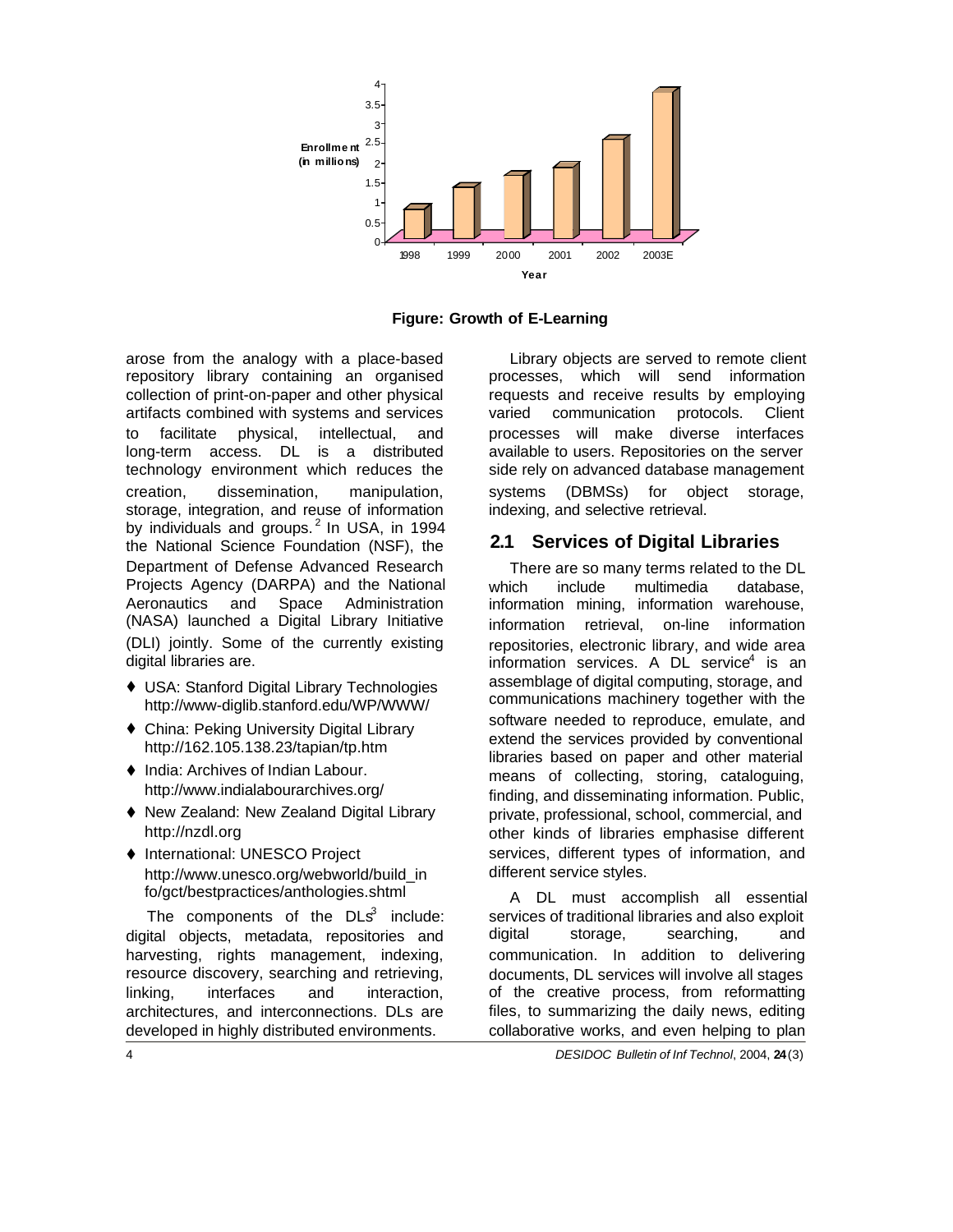

**Figure: Growth of E-Learning**

arose from the analogy with a place-based repository library containing an organised collection of print-on-paper and other physical artifacts combined with systems and services to facilitate physical, intellectual, and long-term access. DL is a distributed technology environment which reduces the creation, dissemination, manipulation, storage, integration, and reuse of information by individuals and groups.<sup>2</sup> In USA, in 1994 the National Science Foundation (NSF), the Department of Defense Advanced Research Projects Agency (DARPA) and the National Aeronautics and Space Administration (NASA) launched a Digital Library Initiative (DLI) jointly. Some of the currently existing digital libraries are.

- ♦ USA: Stanford Digital Library Technologies http://www-diglib.stanford.edu/WP/WWW/
- ♦ China: Peking University Digital Library http://162.105.138.23/tapian/tp.htm
- $\blacklozenge$  India: Archives of Indian Labour. http://www.indialabourarchives.org/
- ♦ New Zealand: New Zealand Digital Library http://nzdl.org
- ♦ International: UNESCO Project http://www.unesco.org/webworld/build\_in fo/gct/bestpractices/anthologies.shtml

The components of the  $DLS^3$  include: digital objects, metadata, repositories and harvesting, rights management, indexing, resource discovery, searching and retrieving, linking, interfaces and interaction, architectures, and interconnections. DLs are developed in highly distributed environments.

Library objects are served to remote client processes, which will send information requests and receive results by employing varied communication protocols. Client processes will make diverse interfaces available to users. Repositories on the server side rely on advanced database management systems (DBMSs) for object storage, indexing, and selective retrieval.

## **2.1 Services of Digital Libraries**

There are so many terms related to the DL which include multimedia database. information mining, information warehouse, information retrieval, on-line information repositories, electronic library, and wide area information services. A DL service<sup>4</sup> is an assemblage of digital computing, storage, and communications machinery together with the software needed to reproduce, emulate, and extend the services provided by conventional libraries based on paper and other material means of collecting, storing, cataloguing, finding, and disseminating information. Public, private, professional, school, commercial, and other kinds of libraries emphasise different services, different types of information, and different service styles.

A DL must accomplish all essential services of traditional libraries and also exploit digital storage, searching, and communication. In addition to delivering documents, DL services will involve all stages of the creative process, from reformatting files, to summarizing the daily news, editing collaborative works, and even helping to plan

4 *DESIDOC Bulletin of Inf Technol*, 2004, **24**(3)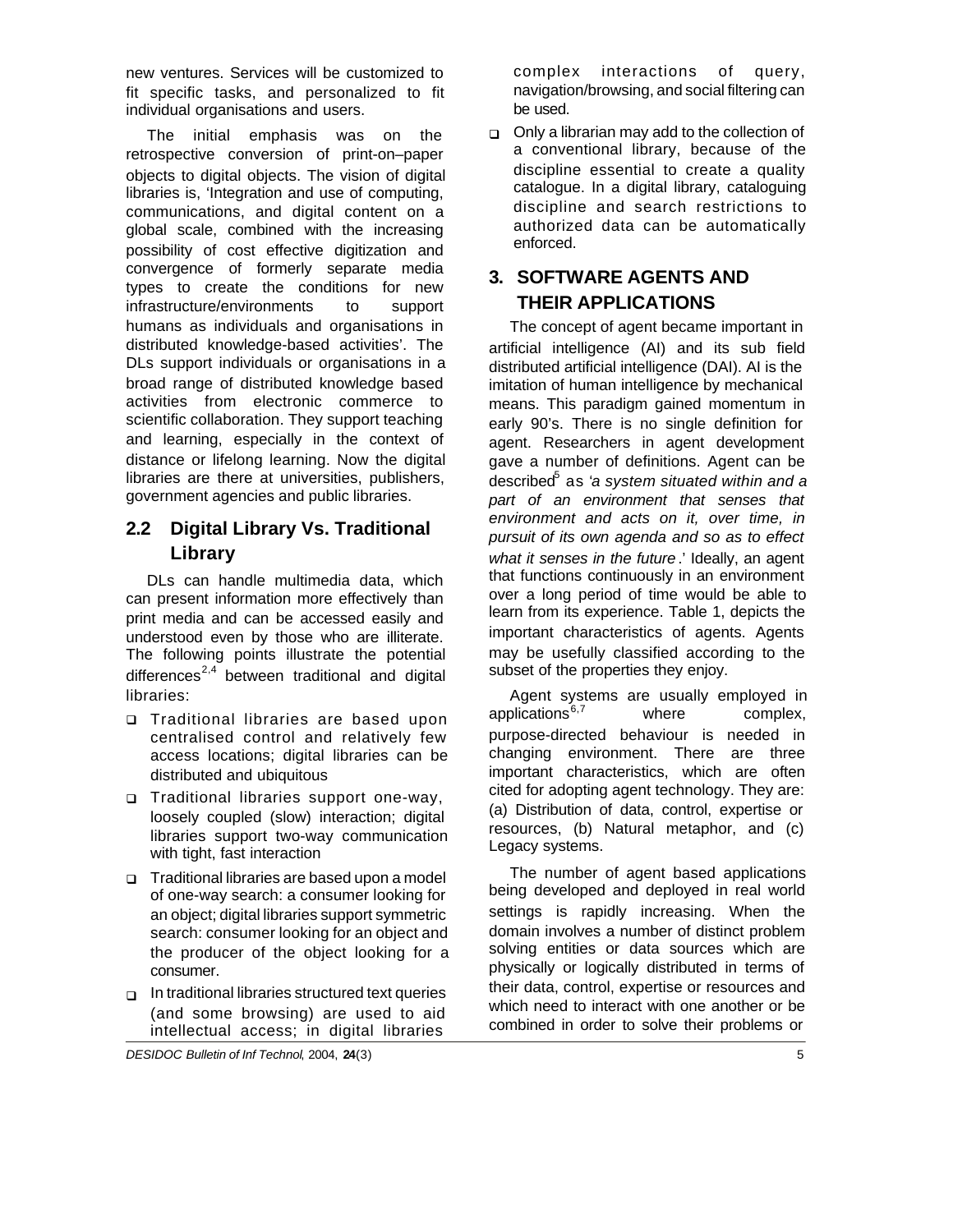new ventures. Services will be customized to fit specific tasks, and personalized to fit individual organisations and users.

The initial emphasis was on the retrospective conversion of print-on–paper objects to digital objects. The vision of digital libraries is, 'Integration and use of computing, communications, and digital content on a global scale, combined with the increasing possibility of cost effective digitization and convergence of formerly separate media types to create the conditions for new infrastructure/environments to support humans as individuals and organisations in distributed knowledge-based activities'. The DLs support individuals or organisations in a broad range of distributed knowledge based activities from electronic commerce to scientific collaboration. They support teaching and learning, especially in the context of distance or lifelong learning. Now the digital libraries are there at universities, publishers, government agencies and public libraries.

## **2.2 Digital Library Vs. Traditional Library**

DLs can handle multimedia data, which can present information more effectively than print media and can be accessed easily and understood even by those who are illiterate. The following points illustrate the potential differences<sup>2,4</sup> between traditional and digital libraries:

- q Traditional libraries are based upon centralised control and relatively few access locations; digital libraries can be distributed and ubiquitous
- **p** Traditional libraries support one-way, loosely coupled (slow) interaction; digital libraries support two-way communication with tight, fast interaction
- □ Traditional libraries are based upon a model of one-way search: a consumer looking for an object; digital libraries support symmetric search: consumer looking for an object and the producer of the object looking for a consumer.
- $\Box$  In traditional libraries structured text queries (and some browsing) are used to aid intellectual access; in digital libraries

complex interactions of query, navigation/browsing, and social filtering can be used.

 $\Box$  Only a librarian may add to the collection of a conventional library, because of the discipline essential to create a quality catalogue. In a digital library, cataloguing discipline and search restrictions to authorized data can be automatically enforced.

# **3. SOFTWARE AGENTS AND THEIR APPLICATIONS**

The concept of agent became important in artificial intelligence (AI) and its sub field distributed artificial intelligence (DAI). AI is the imitation of human intelligence by mechanical means. This paradigm gained momentum in early 90's. There is no single definition for agent. Researchers in agent development gave a number of definitions. Agent can be described<sup>5</sup> as '*a system situated within and a part of an environment that senses that environment and acts on it, over time, in pursuit of its own agenda and so as to effect what it senses in the future*.' Ideally, an agent that functions continuously in an environment over a long period of time would be able to learn from its experience. Table 1, depicts the important characteristics of agents. Agents may be usefully classified according to the subset of the properties they enjoy.

Agent systems are usually employed in applications $6,7$  where complex, purpose-directed behaviour is needed in changing environment. There are three important characteristics, which are often cited for adopting agent technology. They are: (a) Distribution of data, control, expertise or resources, (b) Natural metaphor, and (c) Legacy systems.

The number of agent based applications being developed and deployed in real world settings is rapidly increasing. When the domain involves a number of distinct problem solving entities or data sources which are physically or logically distributed in terms of their data, control, expertise or resources and which need to interact with one another or be combined in order to solve their problems or

*DESIDOC Bulletin of Inf Technol*, 2004, **24**(3) 5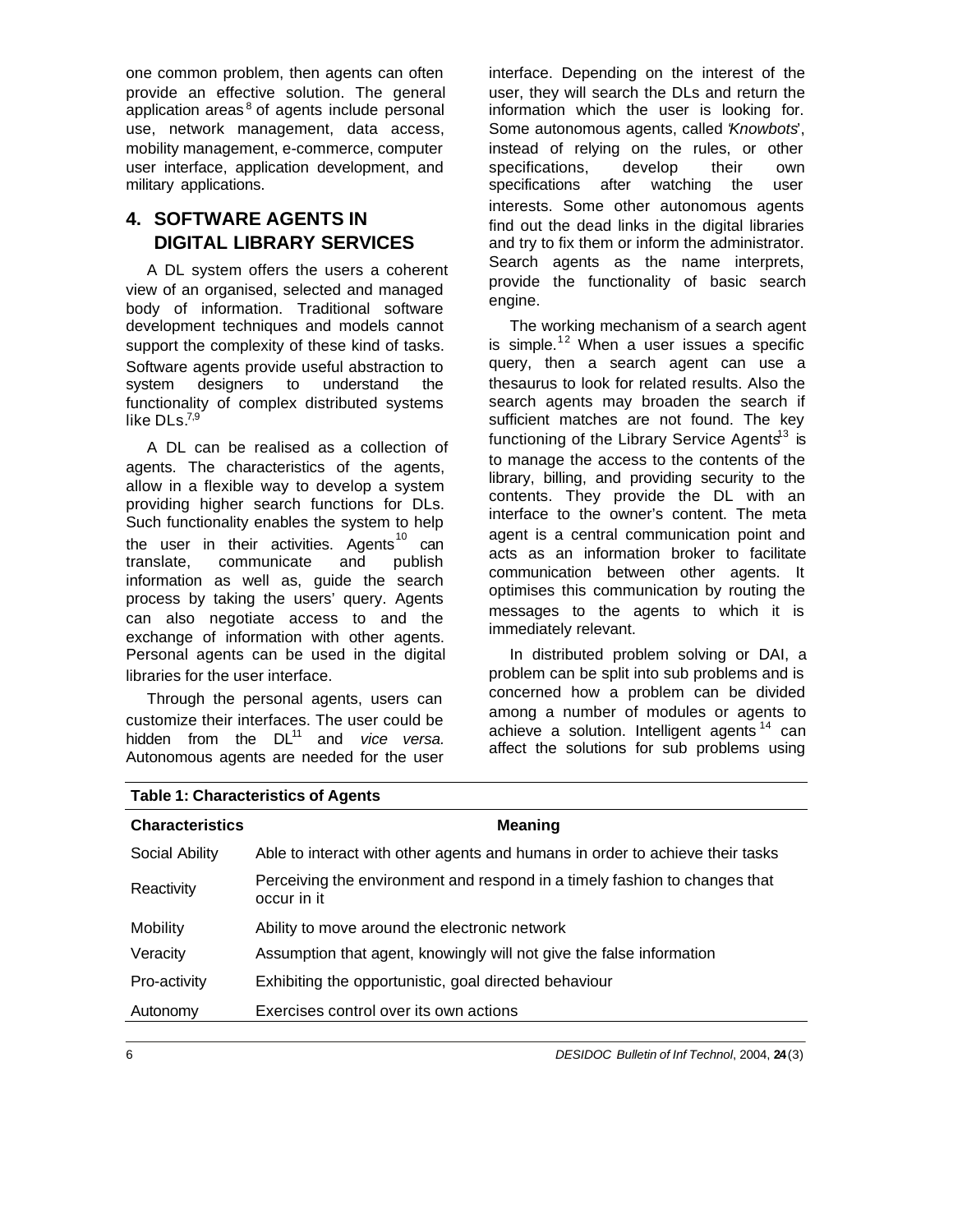one common problem, then agents can often provide an effective solution. The general application areas<sup>8</sup> of agents include personal use, network management, data access, mobility management, e-commerce, computer user interface, application development, and military applications.

# **4. SOFTWARE AGENTS IN DIGITAL LIBRARY SERVICES**

A DL system offers the users a coherent view of an organised, selected and managed body of information. Traditional software development techniques and models cannot support the complexity of these kind of tasks. Software agents provide useful abstraction to system designers to understand the functionality of complex distributed systems like  $DLS.<sup>7,9</sup>$ 

A DL can be realised as a collection of agents. The characteristics of the agents, allow in a flexible way to develop a system providing higher search functions for DLs. Such functionality enables the system to help the user in their activities. Agents $^{10}$  can translate, communicate and publish information as well as, guide the search process by taking the users' query. Agents can also negotiate access to and the exchange of information with other agents. Personal agents can be used in the digital libraries for the user interface.

Through the personal agents, users can customize their interfaces. The user could be hidden from the DL<sup>11</sup> and *vice versa.* Autonomous agents are needed for the user interface. Depending on the interest of the user, they will search the DLs and return the information which the user is looking for. Some autonomous agents, called '*Knowbots*', instead of relying on the rules, or other specifications, develop their own specifications after watching the user interests. Some other autonomous agents find out the dead links in the digital libraries and try to fix them or inform the administrator. Search agents as the name interprets, provide the functionality of basic search engine.

The working mechanism of a search agent is simple.<sup>12</sup> When a user issues a specific query, then a search agent can use a thesaurus to look for related results. Also the search agents may broaden the search if sufficient matches are not found. The key functioning of the Library Service Agents<sup>13</sup> is to manage the access to the contents of the library, billing, and providing security to the contents. They provide the DL with an interface to the owner's content. The meta agent is a central communication point and acts as an information broker to facilitate communication between other agents. It optimises this communication by routing the messages to the agents to which it is immediately relevant.

In distributed problem solving or DAI, a problem can be split into sub problems and is concerned how a problem can be divided among a number of modules or agents to achieve a solution. Intelligent agents  $14$  can affect the solutions for sub problems using

| <b>Characteristics</b> | <b>Meaning</b>                                                                            |
|------------------------|-------------------------------------------------------------------------------------------|
| Social Ability         | Able to interact with other agents and humans in order to achieve their tasks             |
| Reactivity             | Perceiving the environment and respond in a timely fashion to changes that<br>occur in it |
| Mobility               | Ability to move around the electronic network                                             |
| Veracity               | Assumption that agent, knowingly will not give the false information                      |
| Pro-activity           | Exhibiting the opportunistic, goal directed behaviour                                     |
| Autonomy               | Exercises control over its own actions                                                    |
|                        |                                                                                           |

## **Table 1: Characteristics of Agents**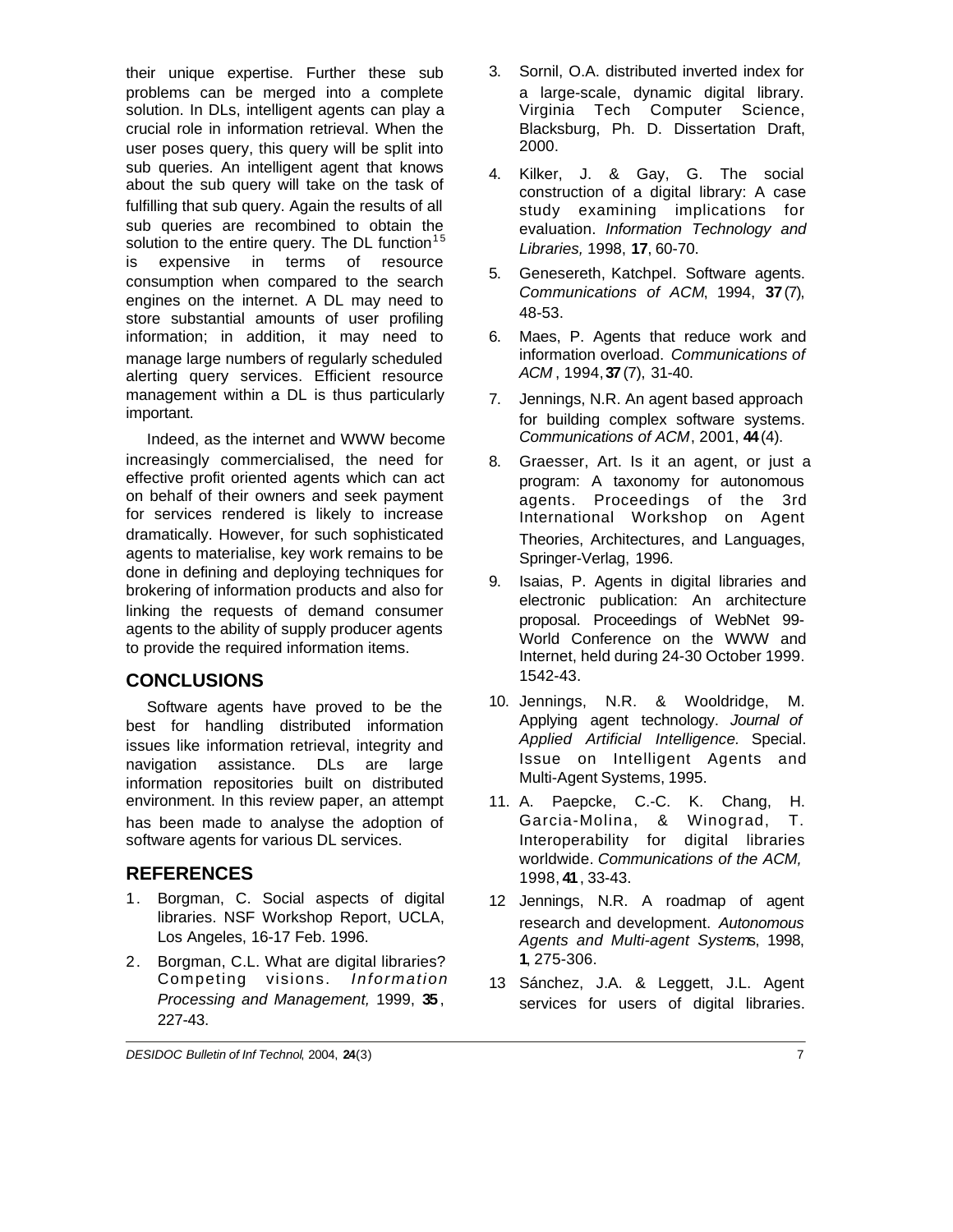their unique expertise. Further these sub problems can be merged into a complete solution. In DLs, intelligent agents can play a crucial role in information retrieval. When the user poses query, this query will be split into sub queries. An intelligent agent that knows about the sub query will take on the task of fulfilling that sub query. Again the results of all sub queries are recombined to obtain the solution to the entire query. The DL function<sup>15</sup> is expensive in terms of resource consumption when compared to the search engines on the internet. A DL may need to store substantial amounts of user profiling information; in addition, it may need to manage large numbers of regularly scheduled alerting query services. Efficient resource management within a DL is thus particularly important.

Indeed, as the internet and WWW become increasingly commercialised, the need for effective profit oriented agents which can act on behalf of their owners and seek payment for services rendered is likely to increase dramatically. However, for such sophisticated agents to materialise, key work remains to be done in defining and deploying techniques for brokering of information products and also for linking the requests of demand consumer agents to the ability of supply producer agents to provide the required information items.

### **CONCLUSIONS**

Software agents have proved to be the best for handling distributed information issues like information retrieval, integrity and navigation assistance. DLs are large information repositories built on distributed environment. In this review paper, an attempt has been made to analyse the adoption of software agents for various DL services.

## **REFERENCES**

- 1. Borgman, C. Social aspects of digital libraries. NSF Workshop Report, UCLA, Los Angeles, 16-17 Feb. 1996.
- 2. Borgman, C.L. What are digital libraries? Competing visions. *Information Processing and Management,* 1999, **35**, 227-43.
- 3. Sornil, O.A. distributed inverted index for a large-scale, dynamic digital library. Virginia Tech Computer Science, Blacksburg, Ph. D. Dissertation Draft, 2000.
- 4. Kilker, J. & Gay, G. The social construction of a digital library: A case study examining implications for evaluation. *Information Technology and Libraries,* 1998, **17**, 60-70.
- 5. Genesereth, Katchpel. Software agents. *Communications of ACM*, 1994, **37**(7), 48-53.
- 6. Maes, P. Agents that reduce work and information overload. *Communications of ACM* , 1994, **37**(7), 31-40.
- 7. Jennings, N.R. An agent based approach for building complex software systems. *Communications of ACM*, 2001, **44**(4).
- 8. Graesser, Art. Is it an agent, or just a program: A taxonomy for autonomous agents. Proceedings of the 3rd International Workshop on Agent Theories, Architectures, and Languages, Springer-Verlag, 1996.
- 9. Isaias, P. Agents in digital libraries and electronic publication: An architecture proposal. Proceedings of WebNet 99- World Conference on the WWW and Internet, held during 24-30 October 1999. 1542-43.
- 10. Jennings, N.R. & Wooldridge, M. Applying agent technology. *Journal of Applied Artificial Intelligence.* Special. Issue on Intelligent Agents and Multi-Agent Systems, 1995.
- 11. A. Paepcke, C.-C. K. Chang, H. Garcia-Molina, & Winograd, T. Interoperability for digital libraries worldwide. *Communications of the ACM,* 1998, **41**, 33-43.
- 12 Jennings, N.R. A roadmap of agent research and development. *Autonomous Agents and Multi-agent System*s, 1998, **1**, 275-306.
- 13 Sánchez, J.A. & Leggett, J.L. Agent services for users of digital libraries.

*DESIDOC Bulletin of Inf Technol*, 2004, **24**(3) 7